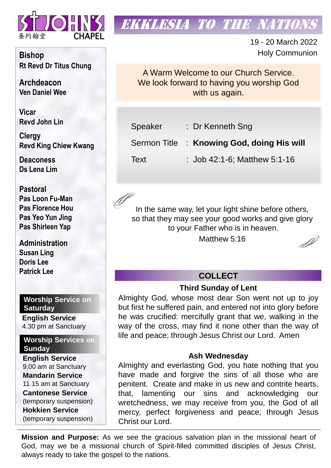

# **EKKLESIA TO THE NATION**

19 - 20 March 2022 Holy Communion

A Warm Welcome to our Church Service. We look forward to having you worship God with us again.

Speaker : Dr Kenneth Sng Sermon Title : **Knowing God, doing His will** Text : Job 42:1-6; Matthew 5:1-16

In the same way, let your light shine before others, so that they may see your good works and give glory to your Father who is in heaven.

Matthew 5:16



### **COLLECT**

#### **Third Sunday of Lent**

Almighty God, whose most dear Son went not up to joy but first he suffered pain, and entered not into glory before he was crucified: mercifully grant that we, walking in the way of the cross, may find it none other than the way of life and peace; through Jesus Christ our Lord. Amen

#### **Ash Wednesday**

Almighty and everlasting God, you hate nothing that you have made and forgive the sins of all those who are penitent. Create and make in us new and contrite hearts, that, lamenting our sins and acknowledging our wretchedness, we may receive from you, the God of all mercy, perfect forgiveness and peace; through Jesus Christ our Lord.

**Mission and Purpose:** As we see the gracious salvation plan in the missional heart of God, may we be a missional church of Spirit-filled committed disciples of Jesus Christ, always ready to take the gospel to the nations.

**Bishop Rt Revd Dr Titus Chung**

**Archdeacon Ven Daniel Wee**

**Vicar Revd John Lin** 

**Clergy Revd King Chiew Kwang**

**Deaconess Ds Lena Lim**

**Pastoral Pas Loon Fu-Man Pas Florence Hou Pas Yeo Yun Jing Pas Shirleen Yap**

**Administration Susan Ling Doris Lee Patrick Lee**

**Worship Service on Saturday**

**English Service**  4.30 pm at Sanctuary

**Worship Services on Sunday**

**English Service** 9.00 am at Sanctuary **Mandarin Service** 11.15 am at Sanctuary **Cantonese Service** (temporary suspension) **Hokkien Service** (temporary suspension)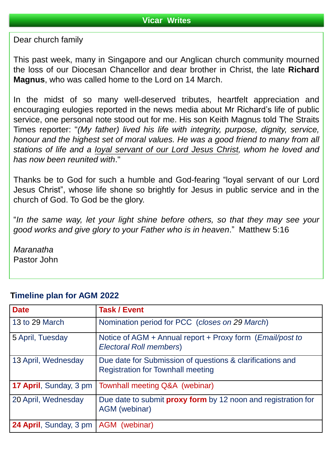Dear church family

This past week, many in Singapore and our Anglican church community mourned the loss of our Diocesan Chancellor and dear brother in Christ, the late **Richard Magnus**, who was called home to the Lord on 14 March.

In the midst of so many well-deserved tributes, heartfelt appreciation and encouraging eulogies reported in the news media about Mr Richard's life of public service, one personal note stood out for me. His son Keith Magnus told The Straits Times reporter: "*(My father) lived his life with integrity, purpose, dignity, service, honour and the highest set of moral values. He was a good friend to many from all stations of life and a loyal servant of our Lord Jesus Christ, whom he loved and has now been reunited with*."

Thanks be to God for such a humble and God-fearing "loyal servant of our Lord Jesus Christ", whose life shone so brightly for Jesus in public service and in the church of God. To God be the glory.

"*In the same way, let your light shine before others, so that they may see your good works and give glory to your Father who is in heaven*." Matthew 5:16

*Maranatha* Pastor John

| <b>Date</b>                   | <b>Task / Event</b>                                                                                   |
|-------------------------------|-------------------------------------------------------------------------------------------------------|
| 13 to 29 March                | Nomination period for PCC (closes on 29 March)                                                        |
| 5 April, Tuesday              | Notice of AGM + Annual report + Proxy form ( <i>Email/post to</i><br><b>Electoral Roll members)</b>   |
| 13 April, Wednesday           | Due date for Submission of questions & clarifications and<br><b>Registration for Townhall meeting</b> |
| <b>17 April, Sunday, 3 pm</b> | Townhall meeting Q&A (webinar)                                                                        |
| 20 April, Wednesday           | Due date to submit <b>proxy form</b> by 12 noon and registration for<br>AGM (webinar)                 |
| 24 April, Sunday, 3 pm        | AGM (webinar)                                                                                         |

### **Timeline plan for AGM 2022**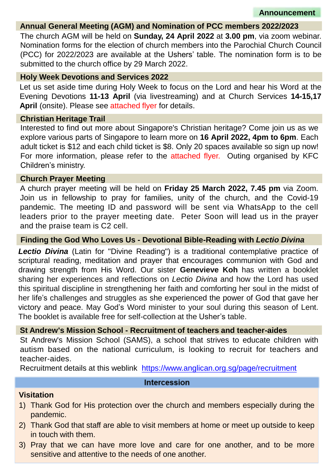**Announcement**

#### **Annual General Meeting (AGM) and Nomination of PCC members 2022/2023**

The church AGM will be held on **Sunday, 24 April 2022** at **3.00 pm**, via zoom webinar. Nomination forms for the election of church members into the Parochial Church Council (PCC) for 2022/2023 are available at the Ushers' table. The nomination form is to be submitted to the church office by 29 March 2022.

#### **Holy Week Devotions and Services 2022**

Let us set aside time during Holy Week to focus on the Lord and hear his Word at the Evening Devotions **11-13 April** (via livestreaming) and at Church Services **14-15,17 April** (onsite). Please see attached flyer for details.

#### **Christian Heritage Trail**

Interested to find out more about Singapore's Christian heritage? Come join us as we explore various parts of Singapore to learn more on **16 April 2022, 4pm to 6pm**. Each adult ticket is \$12 and each child ticket is \$8. Only 20 spaces available so sign up now! For more information, please refer to the attached flyer. Outing organised by KFC Children's ministry.

#### **Church Prayer Meeting**

A church prayer meeting will be held on **Friday 25 March 2022, 7.45 pm** via Zoom. Join us in fellowship to pray for families, unity of the church, and the Covid-19 pandemic. The meeting ID and password will be sent via WhatsApp to the cell leaders prior to the prayer meeting date. Peter Soon will lead us in the prayer and the praise team is C2 cell.

#### **Finding the God Who Loves Us - Devotional Bible-Reading with** *Lectio Divina*

*Lectio Divina* (Latin for "Divine Reading") is a traditional contemplative practice of scriptural reading, meditation and prayer that encourages communion with God and drawing strength from His Word. Our sister **Genevieve Koh** has written a booklet sharing her experiences and reflections on *Lectio Divina* and how the Lord has used this spiritual discipline in strengthening her faith and comforting her soul in the midst of her life's challenges and struggles as she experienced the power of God that gave her victory and peace. May God's Word minister to your soul during this season of Lent. The booklet is available free for self-collection at the Usher's table.

#### **St Andrew's Mission School - Recruitment of teachers and teacher-aides**

St Andrew's Mission School (SAMS), a school that strives to educate children with autism based on the national curriculum, is looking to recruit for teachers and teacher-aides.

Recruitment details at this weblink <https://www.anglican.org.sg/page/recruitment>

#### **Intercession**

#### **Visitation**

- 1) Thank God for His protection over the church and members especially during the pandemic.
- 2) Thank God that staff are able to visit members at home or meet up outside to keep in touch with them.
- 3) Pray that we can have more love and care for one another, and to be more sensitive and attentive to the needs of one another.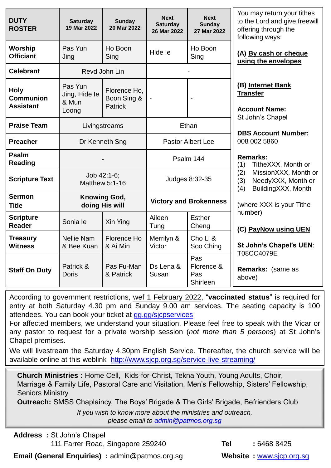| <b>DUTY</b><br><b>ROSTER</b>                        | <b>Saturday</b><br>19 Mar 2022             | <b>Sunday</b><br>20 Mar 2022                  | <b>Next</b><br><b>Saturday</b><br>26 Mar 2022 | <b>Next</b><br><b>Sunday</b><br>27 Mar 2022 | You may return your tithes<br>to the Lord and give freewill<br>offering through the<br>following ways:                                |
|-----------------------------------------------------|--------------------------------------------|-----------------------------------------------|-----------------------------------------------|---------------------------------------------|---------------------------------------------------------------------------------------------------------------------------------------|
| Worship<br><b>Officiant</b>                         | Pas Yun<br>Jing                            | Ho Boon<br>Sing                               | Hide le                                       | Ho Boon<br>Sing                             | (A) By cash or cheque<br>using the envelopes                                                                                          |
| <b>Celebrant</b>                                    | Revd John Lin                              |                                               |                                               |                                             |                                                                                                                                       |
| <b>Holy</b><br><b>Communion</b><br><b>Assistant</b> | Pas Yun<br>Jing, Hide le<br>& Mun<br>Loong | Florence Ho,<br>Boon Sing &<br><b>Patrick</b> |                                               |                                             | (B) Internet Bank<br><b>Transfer</b><br><b>Account Name:</b>                                                                          |
| <b>Praise Team</b>                                  | Livingstreams                              |                                               | Ethan                                         |                                             | St John's Chapel<br><b>DBS Account Number:</b><br>008 002 5860                                                                        |
| <b>Preacher</b>                                     | Dr Kenneth Sng                             |                                               | <b>Pastor Albert Lee</b>                      |                                             |                                                                                                                                       |
| <b>Psalm</b><br><b>Reading</b>                      |                                            |                                               | Psalm 144                                     |                                             | <b>Remarks:</b><br>TitheXXX, Month or<br>(1)<br>MissionXXX, Month or<br>(2)<br>NeedyXXX, Month or<br>(3)<br>BuildingXXX, Month<br>(4) |
| <b>Scripture Text</b>                               | Job 42:1-6;<br>Matthew 5:1-16              |                                               | Judges 8:32-35                                |                                             |                                                                                                                                       |
| <b>Sermon</b><br><b>Title</b>                       | <b>Knowing God,</b><br>doing His will      |                                               | <b>Victory and Brokenness</b>                 |                                             | (where XXX is your Tithe                                                                                                              |
| <b>Scripture</b><br><b>Reader</b>                   | Sonia le                                   | Xin Ying                                      | Aileen<br>Tung                                | <b>Esther</b><br>Cheng                      | number)<br>(C) PayNow using UEN                                                                                                       |
| <b>Treasury</b><br><b>Witness</b>                   | <b>Nellie Nam</b><br>& Bee Kuan            | Florence Ho<br>& Ai Min                       | Merrilyn &<br>Victor                          | Cho Li &<br>Soo Ching                       | St John's Chapel's UEN:                                                                                                               |
| <b>Staff On Duty</b>                                | Patrick &<br><b>Doris</b>                  | Pas Fu-Man<br>& Patrick                       | Ds Lena &<br>Susan                            | Pas<br>Florence &<br>Pas<br>Shirleen        | T08CC4079E<br>Remarks: (same as<br>above)                                                                                             |

According to government restrictions, wef 1 February 2022, "**vaccinated status**" is required for entry at both Saturday 4.30 pm and Sunday 9.00 am services. The seating capacity is 100 attendees. You can book your ticket at [gg.gg/sjcpservices](https://www.eventbrite.sg/o/st-johns-chapel-singapore-30660507632)

For affected members, we understand your situation. Please feel free to speak with the Vicar or any pastor to request for a private worship session (*not more than 5 persons*) at St John's Chapel premises.

We will livestream the Saturday 4.30pm English Service. Thereafter, the church service will be available online at this weblink <http://www.sjcp.org.sg/service-live-streaming/>

**Church Ministries :** Home Cell, Kids-for-Christ, Tekna Youth, Young Adults, Choir, Marriage & Family Life, Pastoral Care and Visitation, Men's Fellowship, Sisters' Fellowship, Seniors Ministry

**Outreach:** SMSS Chaplaincy, The Boys' Brigade & The Girls' Brigade, Befrienders Club

*If you wish to know more about the ministries and outreach, please email to [admin@patmos.org.sg](mailto:admin@patmos.org.sg)*

**Address :** St John's Chapel 111 Farrer Road, Singapore 259240 **Tel :** 6468 8425

**Email (General Enquiries)** : admin@patmos.org.sg **Website : [www.sjcp.org.sg](http://www.sjcp.org.sg/)**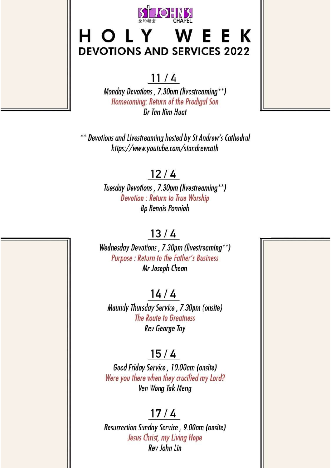

# HOLY WEEK **DEVOTIONS AND SERVICES 2022**

### $11/4$

Monday Devotions, 7.30pm (livestreaming\*\*) Homecoming: Return of the Prodigal Son Dr Tan Kim Huat

\*\* Devotions and Livestreaming hosted by St Andrew's Cathedral https://www.youtube.com/standrewcath

### $12/4$

Tuesday Devotions, 7.30pm (livestreaming\*\*) **Devotion: Return to True Worship Bp Rennis Ponniah** 

### $13/4$

Wednesday Devotions, 7.30pm (livestreaming\*\*) Purpose : Return to the Father's Business Mr Joseph Chean

### $14/4$

Maundy Thursday Service, 7.30pm (onsite) The Route to Greatness **Rev George Tay** 

## $15/4$

Good Friday Service, 10.00am (onsite) Were you there when they crucified my Lord? Ven Wong Tak Meng

### $17/4$

Resurrection Sunday Service, 9.00am (onsite) Jesus Christ, my Living Hope Rev John Lin